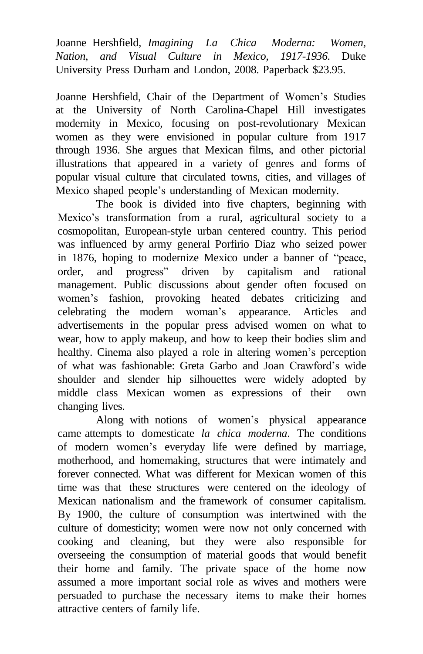Joanne Hershfield, *Imagining La Chica Moderna: Women, Nation, and Visual Culture in Mexico, 1917-1936.* Duke University Press Durham and London, 2008. Paperback \$23.95.

Joanne Hershfield, Chair of the Department of Women's Studies at the University of North Carolina-Chapel Hill investigates modernity in Mexico, focusing on post-revolutionary Mexican women as they were envisioned in popular culture from 1917 through 1936. She argues that Mexican films, and other pictorial illustrations that appeared in a variety of genres and forms of popular visual culture that circulated towns, cities, and villages of Mexico shaped people's understanding of Mexican modernity.

The book is divided into five chapters, beginning with Mexico's transformation from a rural, agricultural society to a cosmopolitan, European-style urban centered country. This period was influenced by army general Porfirio Diaz who seized power in 1876, hoping to modernize Mexico under a banner of "peace, order, and progress" driven by capitalism and rational management. Public discussions about gender often focused on women's fashion, provoking heated debates criticizing and celebrating the modern woman's appearance. Articles and advertisements in the popular press advised women on what to wear, how to apply makeup, and how to keep their bodies slim and healthy. Cinema also played a role in altering women's perception of what was fashionable: Greta Garbo and Joan Crawford's wide shoulder and slender hip silhouettes were widely adopted by middle class Mexican women as expressions of their own changing lives.

Along with notions of women's physical appearance came attempts to domesticate *la chica moderna*. The conditions of modern women's everyday life were defined by marriage, motherhood, and homemaking, structures that were intimately and forever connected. What was different for Mexican women of this time was that these structures were centered on the ideology of Mexican nationalism and the framework of consumer capitalism. By 1900, the culture of consumption was intertwined with the culture of domesticity; women were now not only concerned with cooking and cleaning, but they were also responsible for overseeing the consumption of material goods that would benefit their home and family. The private space of the home now assumed a more important social role as wives and mothers were persuaded to purchase the necessary items to make their homes attractive centers of family life.